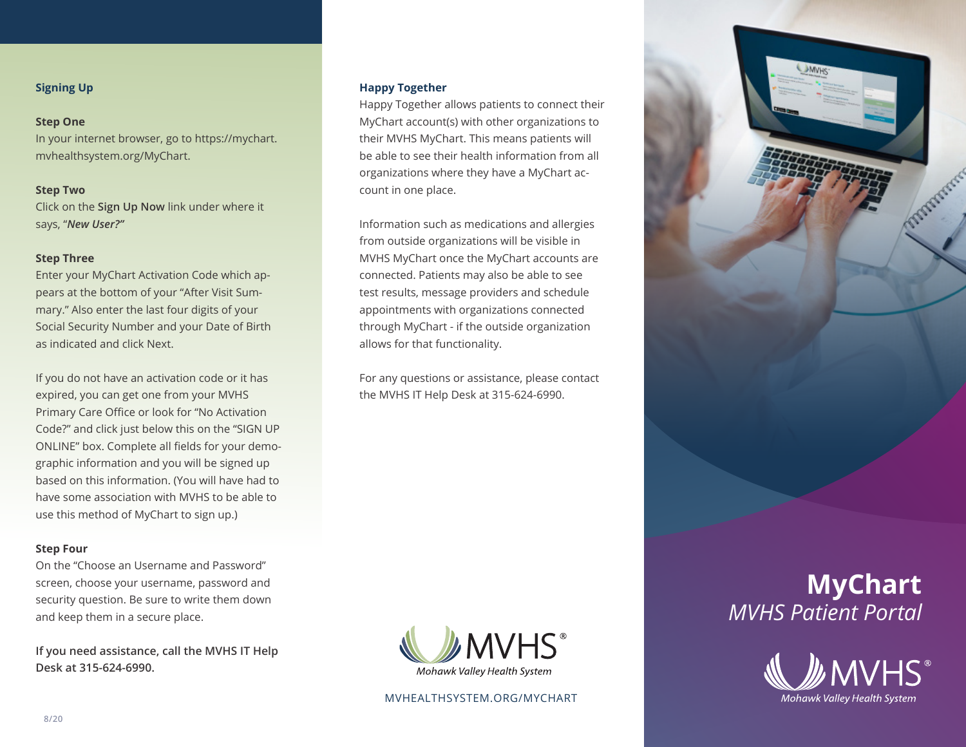# **Signing Up**

# **Step One**

In your internet browser, go to https://mychart. mvhealthsystem.org/MyChart.

# **Step Two**

Click on the **Sign Up Now** link under where it says, "*New User?"*

# **Step Three**

Enter your MyChart Activation Code which appears at the bottom of your "After Visit Summary." Also enter the last four digits of your Social Security Number and your Date of Birth as indicated and click Next.

If you do not have an activation code or it has expired, you can get one from your MVHS Primary Care Office or look for "No Activation Code?" and click just below this on the "SIGN UP ONLINE" box. Complete all fields for your demographic information and you will be signed up based on this information. (You will have had to have some association with MVHS to be able to use this method of MyChart to sign up.)

# **Step Four**

On the "Choose an Username and Password" screen, choose your username, password and security question. Be sure to write them down and keep them in a secure place.

**If you need assistance, call the MVHS IT Help Desk at 315-624-6990.**

# **Happy Together**

Happy Together allows patients to connect their MyChart account(s) with other organizations to their MVHS MyChart. This means patients will be able to see their health information from all organizations where they have a MyChart account in one place.

Information such as medications and allergies from outside organizations will be visible in MVHS MyChart once the MyChart accounts are connected. Patients may also be able to see test results, message providers and schedule appointments with organizations connected through MyChart - if the outside organization allows for that functionality.

For any questions or assistance, please contact the MVHS IT Help Desk at 315-624-6990.



# MVHEALTHSYSTEM.ORG/MYCHART



# **MyChart**  *MVHS Patient Portal*